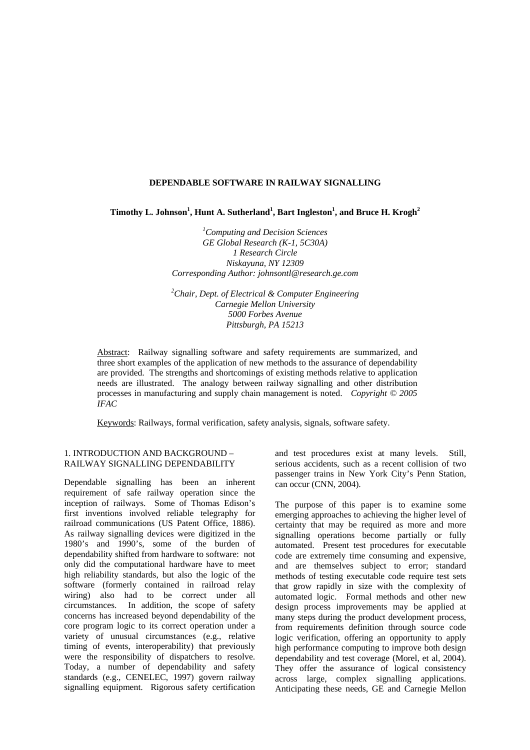# **DEPENDABLE SOFTWARE IN RAILWAY SIGNALLING**

Timothy L. Johnson<sup>1</sup>, Hunt A. Sutherland<sup>1</sup>, Bart Ingleston<sup>1</sup>, and Bruce H. Krogh<sup>2</sup>

*1 Computing and Decision Sciences GE Global Research (K-1, 5C30A) 1 Research Circle Niskayuna, NY 12309 Corresponding Author: johnsontl@research.ge.com*

*2 Chair, Dept. of Electrical & Computer Engineering Carnegie Mellon University 5000 Forbes Avenue Pittsburgh, PA 15213*

Abstract: Railway signalling software and safety requirements are summarized, and three short examples of the application of new methods to the assurance of dependability are provided. The strengths and shortcomings of existing methods relative to application needs are illustrated. The analogy between railway signalling and other distribution processes in manufacturing and supply chain management is noted. *Copyright © 2005 IFAC*

Keywords: Railways, formal verification, safety analysis, signals, software safety.

## 1. INTRODUCTION AND BACKGROUND – RAILWAY SIGNALLING DEPENDABILITY

Dependable signalling has been an inherent requirement of safe railway operation since the inception of railways. Some of Thomas Edison's first inventions involved reliable telegraphy for railroad communications (US Patent Office, 1886). As railway signalling devices were digitized in the 1980's and 1990's, some of the burden of dependability shifted from hardware to software: not only did the computational hardware have to meet high reliability standards, but also the logic of the software (formerly contained in railroad relay wiring) also had to be correct under all circumstances. In addition, the scope of safety concerns has increased beyond dependability of the core program logic to its correct operation under a variety of unusual circumstances (e.g., relative timing of events, interoperability) that previously were the responsibility of dispatchers to resolve. Today, a number of dependability and safety standards (e.g., CENELEC, 1997) govern railway signalling equipment. Rigorous safety certification

and test procedures exist at many levels. Still, serious accidents, such as a recent collision of two passenger trains in New York City's Penn Station, can occur (CNN, 2004).

The purpose of this paper is to examine some emerging approaches to achieving the higher level of certainty that may be required as more and more signalling operations become partially or fully automated. Present test procedures for executable code are extremely time consuming and expensive, and are themselves subject to error; standard methods of testing executable code require test sets that grow rapidly in size with the complexity of automated logic. Formal methods and other new design process improvements may be applied at many steps during the product development process, from requirements definition through source code logic verification, offering an opportunity to apply high performance computing to improve both design dependability and test coverage (Morel, et al, 2004). They offer the assurance of logical consistency across large, complex signalling applications. Anticipating these needs, GE and Carnegie Mellon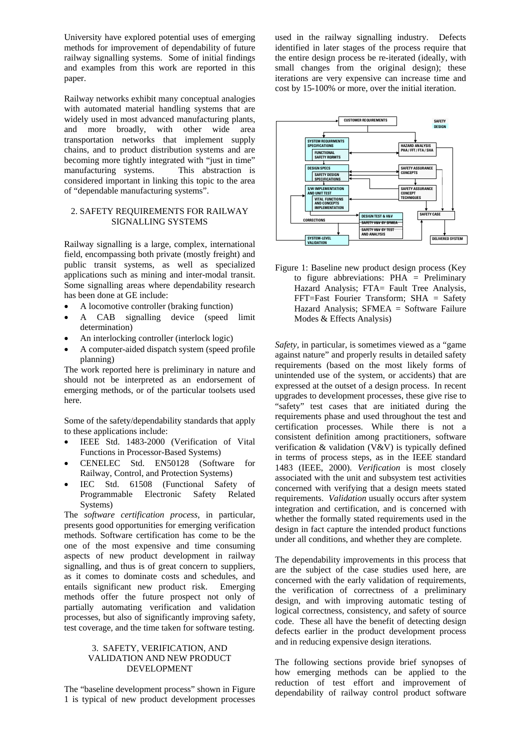University have explored potential uses of emerging methods for improvement of dependability of future railway signalling systems. Some of initial findings and examples from this work are reported in this paper.

Railway networks exhibit many conceptual analogies with automated material handling systems that are widely used in most advanced manufacturing plants, and more broadly, with other wide area transportation networks that implement supply chains, and to product distribution systems and are becoming more tightly integrated with "just in time" manufacturing systems. This abstraction is considered important in linking this topic to the area of "dependable manufacturing systems".

# 2. SAFETY REQUIREMENTS FOR RAILWAY SIGNALLING SYSTEMS

Railway signalling is a large, complex, international field, encompassing both private (mostly freight) and public transit systems, as well as specialized applications such as mining and inter-modal transit. Some signalling areas where dependability research has been done at GE include:

- A locomotive controller (braking function)
- A CAB signalling device (speed limit determination)
- An interlocking controller (interlock logic)
- A computer-aided dispatch system (speed profile planning)

The work reported here is preliminary in nature and should not be interpreted as an endorsement of emerging methods, or of the particular toolsets used here.

Some of the safety/dependability standards that apply to these applications include:

- IEEE Std. 1483-2000 (Verification of Vital Functions in Processor-Based Systems)
- CENELEC Std. EN50128 (Software for Railway, Control, and Protection Systems)
- IEC Std. 61508 (Functional Safety of Programmable Electronic Safety Related Systems)

The *software certification process*, in particular, presents good opportunities for emerging verification methods. Software certification has come to be the one of the most expensive and time consuming aspects of new product development in railway signalling, and thus is of great concern to suppliers, as it comes to dominate costs and schedules, and entails significant new product risk. Emerging methods offer the future prospect not only of partially automating verification and validation processes, but also of significantly improving safety, test coverage, and the time taken for software testing.

### 3. SAFETY, VERIFICATION, AND VALIDATION AND NEW PRODUCT DEVELOPMENT

The "baseline development process" shown in Figure 1 is typical of new product development processes used in the railway signalling industry. Defects identified in later stages of the process require that the entire design process be re-iterated (ideally, with small changes from the original design); these iterations are very expensive can increase time and cost by 15-100% or more, over the initial iteration.



Figure 1: Baseline new product design process (Key to figure abbreviations: PHA = Preliminary Hazard Analysis; FTA= Fault Tree Analysis, FFT=Fast Fourier Transform; SHA = Safety Hazard Analysis; SFMEA = Software Failure Modes & Effects Analysis)

*Safety*, in particular, is sometimes viewed as a "game against nature" and properly results in detailed safety requirements (based on the most likely forms of unintended use of the system, or accidents) that are expressed at the outset of a design process. In recent upgrades to development processes, these give rise to "safety" test cases that are initiated during the requirements phase and used throughout the test and certification processes. While there is not a consistent definition among practitioners, software verification & validation (V&V) is typically defined in terms of process steps, as in the IEEE standard 1483 (IEEE, 2000). *Verification* is most closely associated with the unit and subsystem test activities concerned with verifying that a design meets stated requirements. *Validation* usually occurs after system integration and certification, and is concerned with whether the formally stated requirements used in the design in fact capture the intended product functions under all conditions, and whether they are complete.

The dependability improvements in this process that are the subject of the case studies used here, are concerned with the early validation of requirements, the verification of correctness of a preliminary design, and with improving automatic testing of logical correctness, consistency, and safety of source code. These all have the benefit of detecting design defects earlier in the product development process and in reducing expensive design iterations.

The following sections provide brief synopses of how emerging methods can be applied to the reduction of test effort and improvement of dependability of railway control product software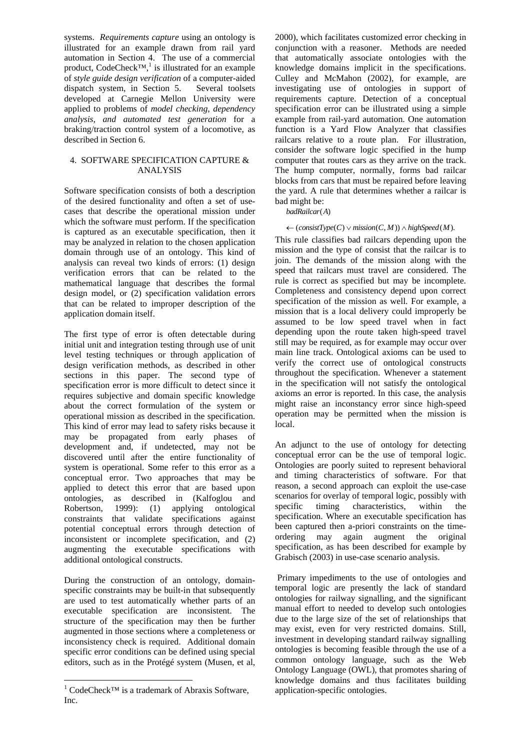systems. *Requirements capture* using an ontology is illustrated for an example drawn from rail yard automation in Section 4. The use of a commercial product, CodeCheck<sup>TM</sup>,<sup>[1](#page-2-0)</sup> is illustrated for an example of *style guide design verification* of a computer-aided dispatch system, in Section 5. Several toolsets developed at Carnegie Mellon University were applied to problems of *model checking, dependency analysis, and automated test generation* for a braking/traction control system of a locomotive, as described in Section 6.

# 4. SOFTWARE SPECIFICATION CAPTURE & ANALYSIS

Software specification consists of both a description of the desired functionality and often a set of usecases that describe the operational mission under which the software must perform. If the specification is captured as an executable specification, then it may be analyzed in relation to the chosen application domain through use of an ontology. This kind of analysis can reveal two kinds of errors: (1) design verification errors that can be related to the mathematical language that describes the formal design model, or (2) specification validation errors that can be related to improper description of the application domain itself.

The first type of error is often detectable during initial unit and integration testing through use of unit level testing techniques or through application of design verification methods, as described in other sections in this paper. The second type of specification error is more difficult to detect since it requires subjective and domain specific knowledge about the correct formulation of the system or operational mission as described in the specification. This kind of error may lead to safety risks because it may be propagated from early phases of development and, if undetected, may not be discovered until after the entire functionality of system is operational. Some refer to this error as a conceptual error. Two approaches that may be applied to detect this error that are based upon ontologies, as described in (Kalfoglou and Robertson, 1999): (1) applying ontological constraints that validate specifications against potential conceptual errors through detection of inconsistent or incomplete specification, and (2) augmenting the executable specifications with additional ontological constructs.

During the construction of an ontology, domainspecific constraints may be built-in that subsequently are used to test automatically whether parts of an executable specification are inconsistent. The structure of the specification may then be further augmented in those sections where a completeness or inconsistency check is required. Additional domain specific error conditions can be defined using special editors, such as in the Protégé system (Musen, et al,

 $\overline{a}$ 

2000), which facilitates customized error checking in conjunction with a reasoner. Methods are needed that automatically associate ontologies with the knowledge domains implicit in the specifications. Culley and McMahon (2002), for example, are investigating use of ontologies in support of requirements capture. Detection of a conceptual specification error can be illustrated using a simple example from rail-yard automation. One automation function is a Yard Flow Analyzer that classifies railcars relative to a route plan. For illustration, consider the software logic specified in the hump computer that routes cars as they arrive on the track. The hump computer, normally, forms bad railcar blocks from cars that must be repaired before leaving the yard. A rule that determines whether a railcar is bad might be:

badRailcar(A)

 $\leftarrow$  (consistType(C)  $\vee$  mission(C, M))  $\wedge$  highSpeed(M).

This rule classifies bad railcars depending upon the mission and the type of consist that the railcar is to join. The demands of the mission along with the speed that railcars must travel are considered. The rule is correct as specified but may be incomplete. Completeness and consistency depend upon correct specification of the mission as well. For example, a mission that is a local delivery could improperly be assumed to be low speed travel when in fact depending upon the route taken high-speed travel still may be required, as for example may occur over main line track. Ontological axioms can be used to verify the correct use of ontological constructs throughout the specification. Whenever a statement in the specification will not satisfy the ontological axioms an error is reported. In this case, the analysis might raise an inconstancy error since high-speed operation may be permitted when the mission is local.

An adjunct to the use of ontology for detecting conceptual error can be the use of temporal logic. Ontologies are poorly suited to represent behavioral and timing characteristics of software. For that reason, a second approach can exploit the use-case scenarios for overlay of temporal logic, possibly with<br>specific timing characteristics, within the specific timing characteristics, within the specification. Where an executable specification has been captured then a-priori constraints on the timeordering may again augment the original specification, as has been described for example by Grabisch (2003) in use-case scenario analysis.

Primary impediments to the use of ontologies and temporal logic are presently the lack of standard ontologies for railway signalling, and the significant manual effort to needed to develop such ontologies due to the large size of the set of relationships that may exist, even for very restricted domains. Still, investment in developing standard railway signalling ontologies is becoming feasible through the use of a common ontology language, such as the Web Ontology Language (OWL), that promotes sharing of knowledge domains and thus facilitates building application-specific ontologies.

<span id="page-2-0"></span><sup>&</sup>lt;sup>1</sup> CodeCheck<sup>™</sup> is a trademark of Abraxis Software, Inc.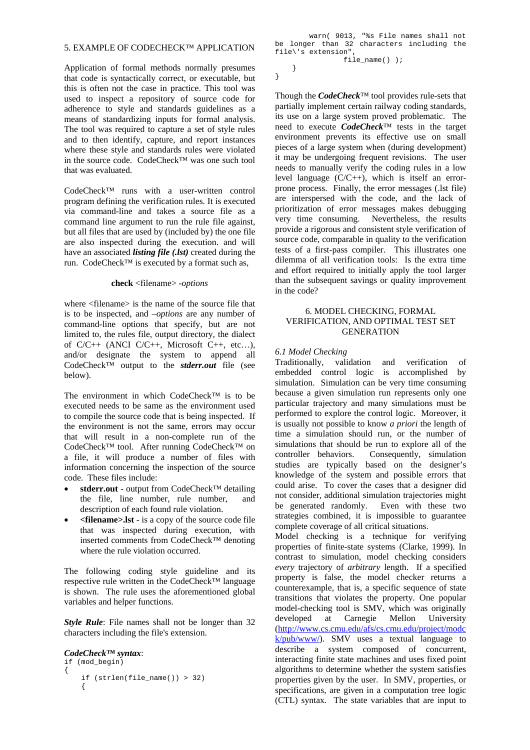### 5. EXAMPLE OF CODECHECK™ APPLICATION

Application of formal methods normally presumes that code is syntactically correct, or executable, but this is often not the case in practice. This tool was used to inspect a repository of source code for adherence to style and standards guidelines as a means of standardizing inputs for formal analysis. The tool was required to capture a set of style rules and to then identify, capture, and report instances where these style and standards rules were violated in the source code. CodeCheck™ was one such tool that was evaluated.

CodeCheck™ runs with a user-written control program defining the verification rules. It is executed via command-line and takes a source file as a command line argument to run the rule file against, but all files that are used by (included by) the one file are also inspected during the execution. and will have an associated *listing file (.lst)* created during the run. CodeCheck™ is executed by a format such as,

#### **check** <filename> -*options*

where  $\leq$  filename is the name of the source file that is to be inspected, and –*options* are any number of command-line options that specify, but are not limited to, the rules file, output directory, the dialect of C/C++ (ANCI C/C++, Microsoft C++, etc…), and/or designate the system to append all CodeCheck™ output to the *stderr.out* file (see below).

The environment in which CodeCheck™ is to be executed needs to be same as the environment used to compile the source code that is being inspected. If the environment is not the same, errors may occur that will result in a non-complete run of the CodeCheck™ tool. After running CodeCheck™ on a file, it will produce a number of files with information concerning the inspection of the source code. These files include:

- **stderr.out** output from CodeCheck™ detailing the file, line number, rule number, and description of each found rule violation.
- **<filename>.lst** is a copy of the source code file that was inspected during execution, with inserted comments from CodeCheck™ denoting where the rule violation occurred.

The following coding style guideline and its respective rule written in the CodeCheck™ language is shown. The rule uses the aforementioned global variables and helper functions.

*Style Rule:* File names shall not be longer than 32 characters including the file's extension.

# *CodeCheck™ syntax*:

```
if (mod_begin) 
{ 
    if (strlen(file name()) > 32) {
```
 warn( 9013, "%s File names shall not be longer than 32 characters including the file\'s extension",

file\_name() );

}

}

Though the *CodeCheck*™ tool provides rule-sets that partially implement certain railway coding standards, its use on a large system proved problematic. The need to execute *CodeCheck*™ tests in the target environment prevents its effective use on small pieces of a large system when (during development) it may be undergoing frequent revisions. The user needs to manually verify the coding rules in a low level language  $(C/C++)$ , which is itself an errorprone process. Finally, the error messages (.lst file) are interspersed with the code, and the lack of prioritization of error messages makes debugging very time consuming. Nevertheless, the results provide a rigorous and consistent style verification of source code, comparable in quality to the verification tests of a first-pass compiler. This illustrates one dilemma of all verification tools: Is the extra time and effort required to initially apply the tool larger than the subsequent savings or quality improvement in the code?

# 6. MODEL CHECKING, FORMAL VERIFICATION, AND OPTIMAL TEST SET GENERATION

#### *6.1 Model Checking*

Traditionally, validation and verification of embedded control logic is accomplished by simulation. Simulation can be very time consuming because a given simulation run represents only one particular trajectory and many simulations must be performed to explore the control logic. Moreover, it is usually not possible to know *a priori* the length of time a simulation should run, or the number of simulations that should be run to explore all of the controller behaviors. Consequently, simulation studies are typically based on the designer's knowledge of the system and possible errors that could arise. To cover the cases that a designer did not consider, additional simulation trajectories might be generated randomly. Even with these two strategies combined, it is impossible to guarantee complete coverage of all critical situations.

Model checking is a technique for verifying properties of finite-state systems (Clarke, 1999). In contrast to simulation, model checking considers *every* trajectory of *arbitrary* length. If a specified property is false, the model checker returns a counterexample, that is, a specific sequence of state transitions that violates the property. One popular model-checking tool is SMV, which was originally developed at Carnegie Mellon University [\(http://www.cs.cmu.edu/afs/cs.cmu.edu/project/modc](http://www.cs.cmu.edu/afs/cs.cmu.edu/project/modck/pub/www/) [k/pub/www/\)](http://www.cs.cmu.edu/afs/cs.cmu.edu/project/modck/pub/www/). SMV uses a textual language to describe a system composed of concurrent, interacting finite state machines and uses fixed point algorithms to determine whether the system satisfies properties given by the user. In SMV, properties, or specifications, are given in a computation tree logic (CTL) syntax. The state variables that are input to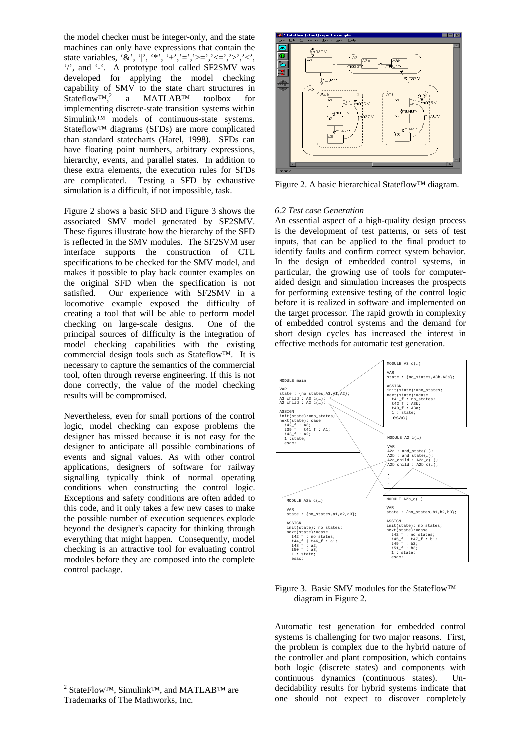the model checker must be integer-only, and the state machines can only have expressions that contain the state variables, '&', '|', '\*', '+','=','>=','<=','>','<', '/', and '-'. A prototype tool called SF2SMV was developed for applying the model checking capability of SMV to the state chart structures in Stateflow™[,2](#page-4-0) a MATLAB™ toolbox for implementing discrete-state transition systems within Simulink™ models of continuous-state systems. Stateflow™ diagrams (SFDs) are more complicated than standard statecharts (Harel, 1998). SFDs can have floating point numbers, arbitrary expressions, hierarchy, events, and parallel states. In addition to these extra elements, the execution rules for SFDs are complicated. Testing a SFD by exhaustive simulation is a difficult, if not impossible, task.

Figure 2 shows a basic SFD and Figure 3 shows the associated SMV model generated by SF2SMV. These figures illustrate how the hierarchy of the SFD is reflected in the SMV modules. The SF2SVM user interface supports the construction of CTL specifications to be checked for the SMV model, and makes it possible to play back counter examples on the original SFD when the specification is not satisfied. Our experience with SF2SMV in a locomotive example exposed the difficulty of creating a tool that will be able to perform model checking on large-scale designs. One of the principal sources of difficulty is the integration of model checking capabilities with the existing commercial design tools such as Stateflow™. It is necessary to capture the semantics of the commercial tool, often through reverse engineering. If this is not done correctly, the value of the model checking results will be compromised.

Nevertheless, even for small portions of the control logic, model checking can expose problems the designer has missed because it is not easy for the designer to anticipate all possible combinations of events and signal values. As with other control applications, designers of software for railway signalling typically think of normal operating conditions when constructing the control logic. Exceptions and safety conditions are often added to this code, and it only takes a few new cases to make the possible number of execution sequences explode beyond the designer's capacity for thinking through everything that might happen. Consequently, model checking is an attractive tool for evaluating control modules before they are composed into the complete control package.

 $\overline{a}$ 



Figure 2. A basic hierarchical Stateflow™ diagram.

#### *6.2 Test case Generation*

An essential aspect of a high-quality design process is the development of test patterns, or sets of test inputs, that can be applied to the final product to identify faults and confirm correct system behavior. In the design of embedded control systems, in particular, the growing use of tools for computeraided design and simulation increases the prospects for performing extensive testing of the control logic before it is realized in software and implemented on the target processor. The rapid growth in complexity of embedded control systems and the demand for short design cycles has increased the interest in effective methods for automatic test generation.



Figure 3. Basic SMV modules for the Stateflow™ diagram in Figure 2.

Automatic test generation for embedded control systems is challenging for two major reasons. First, the problem is complex due to the hybrid nature of the controller and plant composition, which contains both logic (discrete states) and components with continuous dynamics (continuous states). Undecidability results for hybrid systems indicate that one should not expect to discover completely

<span id="page-4-0"></span><sup>&</sup>lt;sup>2</sup> StateFlow<sup>™</sup>, Simulink<sup>™</sup>, and MATLAB<sup>™</sup> are Trademarks of The Mathworks, Inc.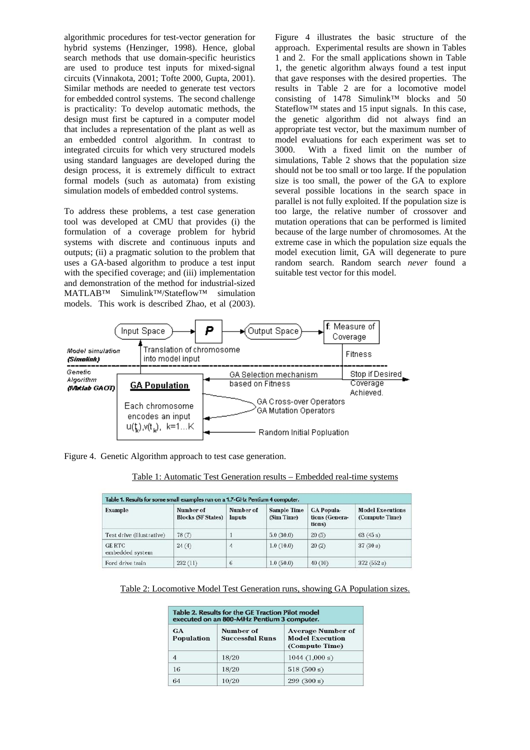algorithmic procedures for test-vector generation for hybrid systems (Henzinger, 1998). Hence, global search methods that use domain-specific heuristics are used to produce test inputs for mixed-signal circuits (Vinnakota, 2001; Tofte 2000, Gupta, 2001). Similar methods are needed to generate test vectors for embedded control systems. The second challenge is practicality: To develop automatic methods, the design must first be captured in a computer model that includes a representation of the plant as well as an embedded control algorithm. In contrast to integrated circuits for which very structured models using standard languages are developed during the design process, it is extremely difficult to extract formal models (such as automata) from existing simulation models of embedded control systems.

To address these problems, a test case generation tool was developed at CMU that provides (i) the formulation of a coverage problem for hybrid systems with discrete and continuous inputs and outputs; (ii) a pragmatic solution to the problem that uses a GA-based algorithm to produce a test input with the specified coverage; and (iii) implementation and demonstration of the method for industrial-sized MATLAB™ Simulink™/Stateflow™ simulation models. This work is described Zhao, et al (2003).

Figure 4 illustrates the basic structure of the approach. Experimental results are shown in Tables 1 and 2. For the small applications shown in Table 1, the genetic algorithm always found a test input that gave responses with the desired properties. The results in Table 2 are for a locomotive model consisting of 1478 Simulink™ blocks and 50 Stateflow™ states and 15 input signals. In this case, the genetic algorithm did not always find an appropriate test vector, but the maximum number of model evaluations for each experiment was set to 3000. With a fixed limit on the number of simulations, Table 2 shows that the population size should not be too small or too large. If the population size is too small, the power of the GA to explore several possible locations in the search space in parallel is not fully exploited. If the population size is too large, the relative number of crossover and mutation operations that can be performed is limited because of the large number of chromosomes. At the extreme case in which the population size equals the model execution limit, GA will degenerate to pure random search. Random search *never* found a suitable test vector for this model.



Figure 4. Genetic Algorithm approach to test case generation.

|--|

| Table 1. Results for some small examples run on a 1.7-GHz Pentium 4 computer. |                                        |                     |                                  |                                               |                                           |
|-------------------------------------------------------------------------------|----------------------------------------|---------------------|----------------------------------|-----------------------------------------------|-------------------------------------------|
| <b>Example</b>                                                                | Number of<br><b>Blocks (SF States)</b> | Number of<br>Inputs | <b>Sample Time</b><br>(Sim Time) | <b>GA Popula-</b><br>tions (Genera-<br>tions) | <b>Model Executions</b><br>(Compute Time) |
| Test drive (illustrative)                                                     | 78(7)                                  |                     | 5.0(30.0)                        | 20(5)                                         | 63(45 s)                                  |
| <b>GE RTC</b><br>embedded system                                              | 24(4)                                  | $\overline{4}$      | 1.0(10.0)                        | 20(2)                                         | 37(30 s)                                  |
| Ford drive train                                                              | 232(11)                                | 6                   | 1.0(50.0)                        | 40(10)                                        | 372(552s)                                 |

Table 2: Locomotive Model Test Generation runs, showing GA Population sizes.

| Table 2. Results for the GE Traction Pilot model<br>executed on an 800-MHz Pentium 3 computer. |                                     |                                                                      |  |  |
|------------------------------------------------------------------------------------------------|-------------------------------------|----------------------------------------------------------------------|--|--|
| <b>GA</b><br>Population                                                                        | Number of<br><b>Successful Runs</b> | <b>Average Number of</b><br><b>Model Execution</b><br>(Compute Time) |  |  |
| 4                                                                                              | 18/20                               | 1044(1,000 s)                                                        |  |  |
| 16                                                                                             | 18/20                               | 518(500 s)                                                           |  |  |
| 64                                                                                             | 10/20                               | 299(300 s)                                                           |  |  |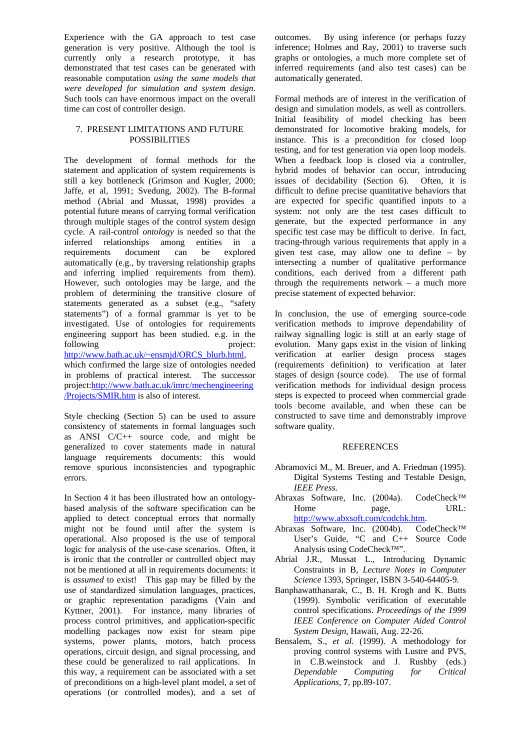Experience with the GA approach to test case generation is very positive. Although the tool is currently only a research prototype, it has demonstrated that test cases can be generated with reasonable computation *using the same models that were developed for simulation and system design*. Such tools can have enormous impact on the overall time can cost of controller design.

# 7. PRESENT LIMITATIONS AND FUTURE POSSIBILITIES

The development of formal methods for the statement and application of system requirements is still a key bottleneck (Grimson and Kugler, 2000; Jaffe, et al, 1991; Svedung, 2002). The B-formal method (Abrial and Mussat, 1998) provides a potential future means of carrying formal verification through multiple stages of the control system design cycle. A rail-control *ontology* is needed so that the inferred relationships among entities in a requirements document can be explored automatically (e.g., by traversing relationship graphs and inferring implied requirements from them). However, such ontologies may be large, and the problem of determining the transitive closure of statements generated as a subset (e.g., "safety statements") of a formal grammar is yet to be investigated. Use of ontologies for requirements engineering support has been studied. e.g. in the following project: [http://www.bath.ac.uk/~ensmjd/ORCS\\_blurb.html](http://www.bath.ac.uk/~ensmjd/ORCS_blurb.html), which confirmed the large size of ontologies needed in problems of practical interest. The successor project:[http://www.bath.ac.uk/imrc/mechengineering](http://www.bath.ac.uk/imrc/mechengineering/Projects/SMIR.htm) [/Projects/SMIR.htm](http://www.bath.ac.uk/imrc/mechengineering/Projects/SMIR.htm) is also of interest.

Style checking (Section 5) can be used to assure consistency of statements in formal languages such as ANSI C/C++ source code, and might be generalized to cover statements made in natural language requirements documents: this would remove spurious inconsistencies and typographic errors.

In Section 4 it has been illustrated how an ontologybased analysis of the software specification can be applied to detect conceptual errors that normally might not be found until after the system is operational. Also proposed is the use of temporal logic for analysis of the use-case scenarios. Often, it is ironic that the controller or controlled object may not be mentioned at all in requirements documents: it is *assumed* to exist! This gap may be filled by the use of standardized simulation languages, practices, or graphic representation paradigms (Vain and Kyttner, 2001). For instance, many libraries of process control primitives, and application-specific modelling packages now exist for steam pipe systems, power plants, motors, batch process operations, circuit design, and signal processing, and these could be generalized to rail applications. In this way, a requirement can be associated with a set of preconditions on a high-level plant model, a set of operations (or controlled modes), and a set of outcomes. By using inference (or perhaps fuzzy inference; Holmes and Ray, 2001) to traverse such graphs or ontologies, a much more complete set of inferred requirements (and also test cases) can be automatically generated.

Formal methods are of interest in the verification of design and simulation models, as well as controllers. Initial feasibility of model checking has been demonstrated for locomotive braking models, for instance. This is a precondition for closed loop testing, and for test generation via open loop models. When a feedback loop is closed via a controller, hybrid modes of behavior can occur, introducing issues of decidability (Section 6). Often, it is difficult to define precise quantitative behaviors that are expected for specific quantified inputs to a system: not only are the test cases difficult to generate, but the expected performance in any specific test case may be difficult to derive. In fact, tracing-through various requirements that apply in a given test case, may allow one to define – by intersecting a number of qualitative performance conditions, each derived from a different path through the requirements network – a much more precise statement of expected behavior.

In conclusion, the use of emerging source-code verification methods to improve dependability of railway signalling logic is still at an early stage of evolution. Many gaps exist in the vision of linking verification at earlier design process stages (requirements definition) to verification at later stages of design (source code). The use of formal verification methods for individual design process steps is expected to proceed when commercial grade tools become available, and when these can be constructed to save time and demonstrably improve software quality.

# **REFERENCES**

- Abramovici M., M. Breuer, and A. Friedman (1995). Digital Systems Testing and Testable Design, *IEEE Press*.
- Abraxas Software, Inc. (2004a). CodeCheck™ Home page, URL: [http://www.abxsoft.com/codchk.htm.](http://www.abxsoft.com/codchk.htm)
- Abraxas Software, Inc. (2004b). CodeCheck™ User's Guide, "C and C++ Source Code Analysis using CodeCheck™".
- Abrial J.R., Mussat L., Introducing Dynamic Constraints in B, *Lecture Notes in Computer Science* 1393, Springer, ISBN 3-540-64405-9.
- Banphawatthanarak, C., B. H. Krogh and K. Butts (1999). Symbolic verification of executable control specifications. *Proceedings of the 1999 IEEE Conference on Computer Aided Control System Design*, Hawaii, Aug. 22-26.
- Bensalem, S., *et al.* (1999). A methodology for proving control systems with Lustre and PVS, in C.B.weinstock and J. Rushby (eds.) *Dependable Computing for Critical Applications,* **7**, pp.89-107.